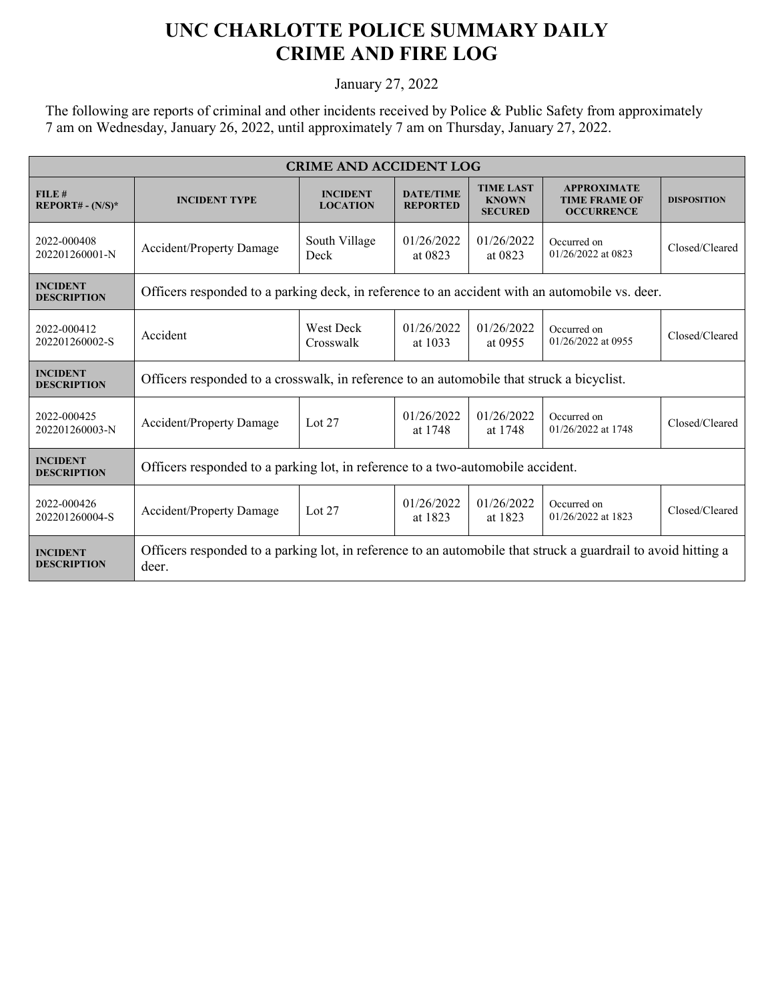## **UNC CHARLOTTE POLICE SUMMARY DAILY CRIME AND FIRE LOG**

January 27, 2022

The following are reports of criminal and other incidents received by Police & Public Safety from approximately 7 am on Wednesday, January 26, 2022, until approximately 7 am on Thursday, January 27, 2022.

| <b>CRIME AND ACCIDENT LOG</b>         |                                                                                                                        |                                    |                                     |                                                    |                                                                 |                    |  |
|---------------------------------------|------------------------------------------------------------------------------------------------------------------------|------------------------------------|-------------------------------------|----------------------------------------------------|-----------------------------------------------------------------|--------------------|--|
| FILE#<br>$REPORT# - (N/S)*$           | <b>INCIDENT TYPE</b>                                                                                                   | <b>INCIDENT</b><br><b>LOCATION</b> | <b>DATE/TIME</b><br><b>REPORTED</b> | <b>TIME LAST</b><br><b>KNOWN</b><br><b>SECURED</b> | <b>APPROXIMATE</b><br><b>TIME FRAME OF</b><br><b>OCCURRENCE</b> | <b>DISPOSITION</b> |  |
| 2022-000408<br>202201260001-N         | Accident/Property Damage                                                                                               | South Village<br>Deck              | 01/26/2022<br>at 0823               | 01/26/2022<br>at 0823                              | Occurred on<br>01/26/2022 at 0823                               | Closed/Cleared     |  |
| <b>INCIDENT</b><br><b>DESCRIPTION</b> | Officers responded to a parking deck, in reference to an accident with an automobile vs. deer.                         |                                    |                                     |                                                    |                                                                 |                    |  |
| 2022-000412<br>202201260002-S         | Accident                                                                                                               | West Deck<br>Crosswalk             | 01/26/2022<br>at 1033               | 01/26/2022<br>at 0955                              | Occurred on<br>01/26/2022 at 0955                               | Closed/Cleared     |  |
| <b>INCIDENT</b><br><b>DESCRIPTION</b> | Officers responded to a crosswalk, in reference to an automobile that struck a bicyclist.                              |                                    |                                     |                                                    |                                                                 |                    |  |
| 2022-000425<br>202201260003-N         | <b>Accident/Property Damage</b>                                                                                        | Lot $27$                           | 01/26/2022<br>at 1748               | 01/26/2022<br>at 1748                              | Occurred on<br>01/26/2022 at 1748                               | Closed/Cleared     |  |
| <b>INCIDENT</b><br><b>DESCRIPTION</b> | Officers responded to a parking lot, in reference to a two-automobile accident.                                        |                                    |                                     |                                                    |                                                                 |                    |  |
| 2022-000426<br>202201260004-S         | <b>Accident/Property Damage</b>                                                                                        | Lot $27$                           | 01/26/2022<br>at 1823               | 01/26/2022<br>at 1823                              | Occurred on<br>01/26/2022 at 1823                               | Closed/Cleared     |  |
| <b>INCIDENT</b><br><b>DESCRIPTION</b> | Officers responded to a parking lot, in reference to an automobile that struck a guardrail to avoid hitting a<br>deer. |                                    |                                     |                                                    |                                                                 |                    |  |